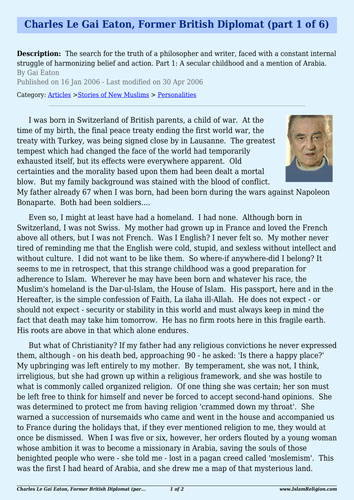## **Charles Le Gai Eaton, Former British Diplomat (part 1 of 6)**

**Description:** The search for the truth of a philosopher and writer, faced with a constant internal struggle of harmonizing belief and action. Part 1: A secular childhood and a mention of Arabia. By Gai Eaton Published on 16 Jan 2006 - Last modified on 30 Apr 2006

Category: [Articles](http://www.islamreligion.com/articles/) >[Stories of New Muslims](http://www.islamreligion.com/category/63/) > [Personalities](http://www.islamreligion.com/category/67/)

I was born in Switzerland of British parents, a child of war. At the time of my birth, the final peace treaty ending the first world war, the treaty with Turkey, was being signed close by in Lausanne. The greatest tempest which had changed the face of the world had temporarily exhausted itself, but its effects were everywhere apparent. Old certainties and the morality based upon them had been dealt a mortal blow. But my family background was stained with the blood of conflict.



My father already 67 when I was born, had been born during the wars against Napoleon Bonaparte. Both had been soldiers....

Even so, I might at least have had a homeland. I had none. Although born in Switzerland, I was not Swiss. My mother had grown up in France and loved the French above all others, but I was not French. Was I English? I never felt so. My mother never tired of reminding me that the English were cold, stupid, and sexless without intellect and without culture. I did not want to be like them. So where-if anywhere-did I belong? It seems to me in retrospect, that this strange childhood was a good preparation for adherence to Islam. Wherever he may have been born and whatever his race, the Muslim's homeland is the Dar-ul-Islam, the House of Islam. His passport, here and in the Hereafter, is the simple confession of Faith, La ilaha ill-Allah. He does not expect - or should not expect - security or stability in this world and must always keep in mind the fact that death may take him tomorrow. He has no firm roots here in this fragile earth. His roots are above in that which alone endures.

But what of Christianity? If my father had any religious convictions he never expressed them, although - on his death bed, approaching 90 - he asked: 'Is there a happy place?' My upbringing was left entirely to my mother. By temperament, she was not, I think, irreligious, but she had grown up within a religious framework, and she was hostile to what is commonly called organized religion. Of one thing she was certain; her son must be left free to think for himself and never be forced to accept second-hand opinions. She was determined to protect me from having religion 'crammed down my throat'. She warned a succession of nursemaids who came and went in the house and accompanied us to France during the holidays that, if they ever mentioned religion to me, they would at once be dismissed. When I was five or six, however, her orders flouted by a young woman whose ambition it was to become a missionary in Arabia, saving the souls of those benighted people who were - she told me - lost in a pagan creed called 'moslemism'. This was the first I had heard of Arabia, and she drew me a map of that mysterious land.